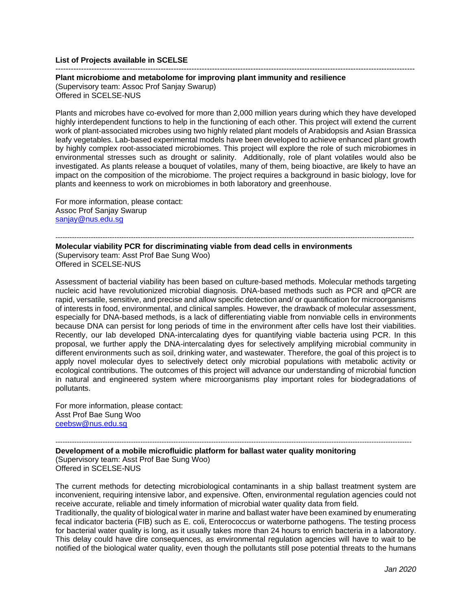## **List of Projects available in SCELSE**

**Plant microbiome and metabolome for improving plant immunity and resilience** 

(Supervisory team: Assoc Prof Sanjay Swarup) Offered in SCELSE-NUS

--------------------------------------------------------------------------------------------------------------------------------------------

Plants and microbes have co-evolved for more than 2,000 million years during which they have developed highly interdependent functions to help in the functioning of each other. This project will extend the current work of plant-associated microbes using two highly related plant models of Arabidopsis and Asian Brassica leafy vegetables. Lab-based experimental models have been developed to achieve enhanced plant growth by highly complex root-associated microbiomes. This project will explore the role of such microbiomes in environmental stresses such as drought or salinity. Additionally, role of plant volatiles would also be investigated. As plants release a bouquet of volatiles, many of them, being bioactive, are likely to have an impact on the composition of the microbiome. The project requires a background in basic biology, love for plants and keenness to work on microbiomes in both laboratory and greenhouse.

For more information, please contact: Assoc Prof Sanjay Swarup [sanjay@nus.edu.sg](mailto:sanjay@nus.edu.sg)

-------------------------------------------------------------------------------------------------------------------------------------------------------- **Molecular viability PCR for discriminating viable from dead cells in environments**  (Supervisory team: Asst Prof Bae Sung Woo) Offered in SCELSE-NUS

Assessment of bacterial viability has been based on culture-based methods. Molecular methods targeting nucleic acid have revolutionized microbial diagnosis. DNA-based methods such as PCR and qPCR are rapid, versatile, sensitive, and precise and allow specific detection and/ or quantification for microorganisms of interests in food, environmental, and clinical samples. However, the drawback of molecular assessment, especially for DNA-based methods, is a lack of differentiating viable from nonviable cells in environments because DNA can persist for long periods of time in the environment after cells have lost their viabilities. Recently, our lab developed DNA-intercalating dyes for quantifying viable bacteria using PCR. In this proposal, we further apply the DNA-intercalating dyes for selectively amplifying microbial community in different environments such as soil, drinking water, and wastewater. Therefore, the goal of this project is to apply novel molecular dyes to selectively detect only microbial populations with metabolic activity or ecological contributions. The outcomes of this project will advance our understanding of microbial function in natural and engineered system where microorganisms play important roles for biodegradations of pollutants.

For more information, please contact: Asst Prof Bae Sung Woo [ceebsw@nus.edu.sg](mailto:ceebsw@nus.edu.sg)

------------------------------------------------------------------------------------------------------------------------------------------------------- **Development of a mobile microfluidic platform for ballast water quality monitoring**  (Supervisory team: Asst Prof Bae Sung Woo) Offered in SCELSE-NUS

The current methods for detecting microbiological contaminants in a ship ballast treatment system are inconvenient, requiring intensive labor, and expensive. Often, environmental regulation agencies could not receive accurate, reliable and timely information of microbial water quality data from field.

Traditionally, the quality of biological water in marine and ballast water have been examined by enumerating fecal indicator bacteria (FIB) such as E. coli, Enterococcus or waterborne pathogens. The testing process for bacterial water quality is long, as it usually takes more than 24 hours to enrich bacteria in a laboratory. This delay could have dire consequences, as environmental regulation agencies will have to wait to be notified of the biological water quality, even though the pollutants still pose potential threats to the humans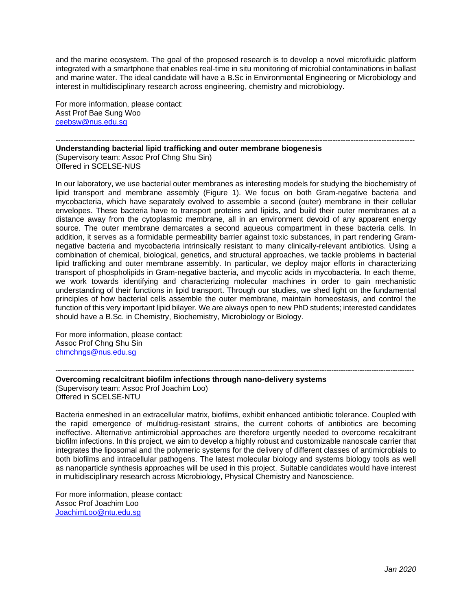and the marine ecosystem. The goal of the proposed research is to develop a novel microfluidic platform integrated with a smartphone that enables real-time in situ monitoring of microbial contaminations in ballast and marine water. The ideal candidate will have a B.Sc in Environmental Engineering or Microbiology and interest in multidisciplinary research across engineering, chemistry and microbiology.

For more information, please contact: Asst Prof Bae Sung Woo [ceebsw@nus.edu.sg](mailto:ceebsw@nus.edu.sg)

#### -------------------------------------------------------------------------------------------------------------------------------------------- **Understanding bacterial lipid trafficking and outer membrane biogenesis**

(Supervisory team: Assoc Prof Chng Shu Sin) Offered in SCELSE-NUS

In our laboratory, we use bacterial outer membranes as interesting models for studying the biochemistry of lipid transport and membrane assembly (Figure 1). We focus on both Gram-negative bacteria and mycobacteria, which have separately evolved to assemble a second (outer) membrane in their cellular envelopes. These bacteria have to transport proteins and lipids, and build their outer membranes at a distance away from the cytoplasmic membrane, all in an environment devoid of any apparent energy source. The outer membrane demarcates a second aqueous compartment in these bacteria cells. In addition, it serves as a formidable permeability barrier against toxic substances, in part rendering Gramnegative bacteria and mycobacteria intrinsically resistant to many clinically-relevant antibiotics. Using a combination of chemical, biological, genetics, and structural approaches, we tackle problems in bacterial lipid trafficking and outer membrane assembly. In particular, we deploy major efforts in characterizing transport of phospholipids in Gram-negative bacteria, and mycolic acids in mycobacteria. In each theme, we work towards identifying and characterizing molecular machines in order to gain mechanistic understanding of their functions in lipid transport. Through our studies, we shed light on the fundamental principles of how bacterial cells assemble the outer membrane, maintain homeostasis, and control the function of this very important lipid bilayer. We are always open to new PhD students; interested candidates should have a B.Sc. in Chemistry, Biochemistry, Microbiology or Biology.

For more information, please contact: Assoc Prof Chng Shu Sin [chmchngs@nus.edu.sg](mailto:chmchngs@nus.edu.sg)

## -------------------------------------------------------------------------------------------------------------------------------------------------------- **Overcoming recalcitrant biofilm infections through nano-delivery systems** (Supervisory team: Assoc Prof Joachim Loo) Offered in SCELSE-NTU

Bacteria enmeshed in an extracellular matrix, biofilms, exhibit enhanced antibiotic tolerance. Coupled with the rapid emergence of multidrug-resistant strains, the current cohorts of antibiotics are becoming ineffective. Alternative antimicrobial approaches are therefore urgently needed to overcome recalcitrant biofilm infections. In this project, we aim to develop a highly robust and customizable nanoscale carrier that integrates the liposomal and the polymeric systems for the delivery of different classes of antimicrobials to both biofilms and intracellular pathogens. The latest molecular biology and systems biology tools as well as nanoparticle synthesis approaches will be used in this project. Suitable candidates would have interest in multidisciplinary research across Microbiology, Physical Chemistry and Nanoscience.

For more information, please contact: Assoc Prof Joachim Loo [JoachimLoo@ntu.edu.sg](mailto:JoachimLoo@ntu.edu.sg)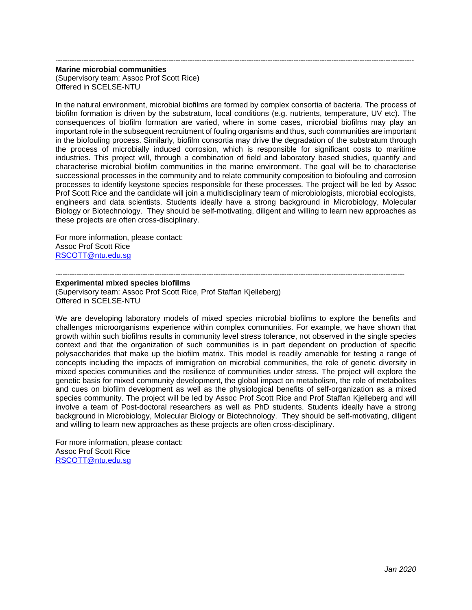### **Marine microbial communities**  (Supervisory team: Assoc Prof Scott Rice) Offered in SCELSE-NTU

In the natural environment, microbial biofilms are formed by complex consortia of bacteria. The process of biofilm formation is driven by the substratum, local conditions (e.g. nutrients, temperature, UV etc). The consequences of biofilm formation are varied, where in some cases, microbial biofilms may play an important role in the subsequent recruitment of fouling organisms and thus, such communities are important in the biofouling process. Similarly, biofilm consortia may drive the degradation of the substratum through the process of microbially induced corrosion, which is responsible for significant costs to maritime industries. This project will, through a combination of field and laboratory based studies, quantify and characterise microbial biofilm communities in the marine environment. The goal will be to characterise successional processes in the community and to relate community composition to biofouling and corrosion processes to identify keystone species responsible for these processes. The project will be led by Assoc Prof Scott Rice and the candidate will join a multidisciplinary team of microbiologists, microbial ecologists, engineers and data scientists. Students ideally have a strong background in Microbiology, Molecular Biology or Biotechnology. They should be self-motivating, diligent and willing to learn new approaches as these projects are often cross-disciplinary.

--------------------------------------------------------------------------------------------------------------------------------------------------------

For more information, please contact: Assoc Prof Scott Rice [RSCOTT@ntu.edu.sg](mailto:RSCOTT@ntu.edu.sg)

# **Experimental mixed species biofilms**

(Supervisory team: Assoc Prof Scott Rice, Prof Staffan Kjelleberg) Offered in SCELSE-NTU

We are developing laboratory models of mixed species microbial biofilms to explore the benefits and challenges microorganisms experience within complex communities. For example, we have shown that growth within such biofilms results in community level stress tolerance, not observed in the single species context and that the organization of such communities is in part dependent on production of specific polysaccharides that make up the biofilm matrix. This model is readily amenable for testing a range of concepts including the impacts of immigration on microbial communities, the role of genetic diversity in mixed species communities and the resilience of communities under stress. The project will explore the genetic basis for mixed community development, the global impact on metabolism, the role of metabolites and cues on biofilm development as well as the physiological benefits of self-organization as a mixed species community. The project will be led by Assoc Prof Scott Rice and Prof Staffan Kjelleberg and will involve a team of Post-doctoral researchers as well as PhD students. Students ideally have a strong background in Microbiology, Molecular Biology or Biotechnology. They should be self-motivating, diligent and willing to learn new approaches as these projects are often cross-disciplinary.

----------------------------------------------------------------------------------------------------------------------------------------------------

For more information, please contact: Assoc Prof Scott Rice [RSCOTT@ntu.edu.sg](mailto:RSCOTT@ntu.edu.sg)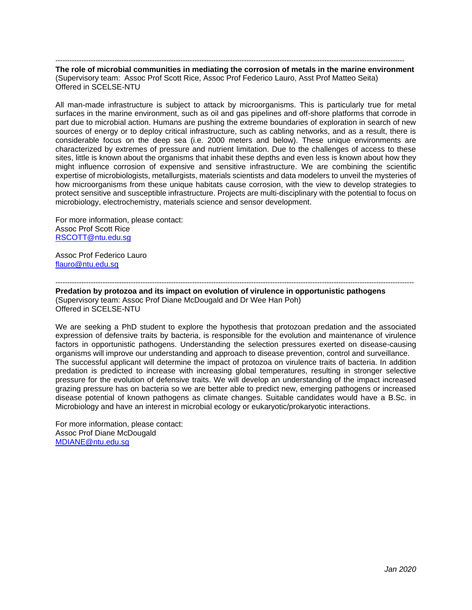---------------------------------------------------------------------------------------------------------------------------------------------------- **The role of microbial communities in mediating the corrosion of metals in the marine environment** (Supervisory team: Assoc Prof Scott Rice, Assoc Prof Federico Lauro, Asst Prof Matteo Seita) Offered in SCELSE-NTU

All man-made infrastructure is subject to attack by microorganisms. This is particularly true for metal surfaces in the marine environment, such as oil and gas pipelines and off-shore platforms that corrode in part due to microbial action. Humans are pushing the extreme boundaries of exploration in search of new sources of energy or to deploy critical infrastructure, such as cabling networks, and as a result, there is considerable focus on the deep sea (i.e. 2000 meters and below). These unique environments are characterized by extremes of pressure and nutrient limitation. Due to the challenges of access to these sites, little is known about the organisms that inhabit these depths and even less is known about how they might influence corrosion of expensive and sensitive infrastructure. We are combining the scientific expertise of microbiologists, metallurgists, materials scientists and data modelers to unveil the mysteries of how microorganisms from these unique habitats cause corrosion, with the view to develop strategies to protect sensitive and susceptible infrastructure. Projects are multi-disciplinary with the potential to focus on microbiology, electrochemistry, materials science and sensor development.

For more information, please contact: Assoc Prof Scott Rice [RSCOTT@ntu.edu.sg](mailto:RSCOTT@ntu.edu.sg)

Assoc Prof Federico Lauro [flauro@ntu.edu.sg](mailto:flauro@ntu.edu.sg)

--------------------------------------------------------------------------------------------------------------------------------------------------------

**Predation by protozoa and its impact on evolution of virulence in opportunistic pathogens**  (Supervisory team: Assoc Prof Diane McDougald and Dr Wee Han Poh) Offered in SCELSE-NTU

We are seeking a PhD student to explore the hypothesis that protozoan predation and the associated expression of defensive traits by bacteria, is responsible for the evolution and maintenance of virulence factors in opportunistic pathogens. Understanding the selection pressures exerted on disease-causing organisms will improve our understanding and approach to disease prevention, control and surveillance. The successful applicant will determine the impact of protozoa on virulence traits of bacteria. In addition predation is predicted to increase with increasing global temperatures, resulting in stronger selective pressure for the evolution of defensive traits. We will develop an understanding of the impact increased grazing pressure has on bacteria so we are better able to predict new, emerging pathogens or increased disease potential of known pathogens as climate changes. Suitable candidates would have a B.Sc. in Microbiology and have an interest in microbial ecology or eukaryotic/prokaryotic interactions.

For more information, please contact: Assoc Prof Diane McDougald [MDIANE@ntu.edu.sg](mailto:MDIANE@ntu.edu.sg)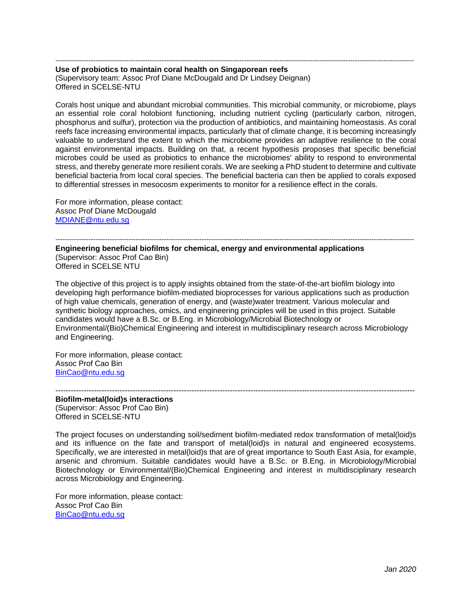-------------------------------------------------------------------------------------------------------------------------------------------------------- **Use of probiotics to maintain coral health on Singaporean reefs** (Supervisory team: Assoc Prof Diane McDougald and Dr Lindsey Deignan) Offered in SCELSE-NTU

Corals host unique and abundant microbial communities. This microbial community, or microbiome, plays an essential role coral holobiont functioning, including nutrient cycling (particularly carbon, nitrogen, phosphorus and sulfur), protection via the production of antibiotics, and maintaining homeostasis. As coral reefs face increasing environmental impacts, particularly that of climate change, it is becoming increasingly valuable to understand the extent to which the microbiome provides an adaptive resilience to the coral against environmental impacts. Building on that, a recent hypothesis proposes that specific beneficial microbes could be used as probiotics to enhance the microbiomes' ability to respond to environmental stress, and thereby generate more resilient corals. We are seeking a PhD student to determine and cultivate beneficial bacteria from local coral species. The beneficial bacteria can then be applied to corals exposed to differential stresses in mesocosm experiments to monitor for a resilience effect in the corals.

For more information, please contact: Assoc Prof Diane McDougald [MDIANE@ntu.edu.sg](mailto:MDIANE@ntu.edu.sg)

-------------------------------------------------------------------------------------------------------------------------------------------------------- **Engineering beneficial biofilms for chemical, energy and environmental applications**  (Supervisor: Assoc Prof Cao Bin) Offered in SCELSE NTU

The objective of this project is to apply insights obtained from the state-of-the-art biofilm biology into developing high performance biofilm-mediated bioprocesses for various applications such as production of high value chemicals, generation of energy, and (waste)water treatment. Various molecular and synthetic biology approaches, omics, and engineering principles will be used in this project. Suitable candidates would have a B.Sc. or B.Eng. in Microbiology/Microbial Biotechnology or Environmental/(Bio)Chemical Engineering and interest in multidisciplinary research across Microbiology and Engineering.

For more information, please contact: Assoc Prof Cao Bin [BinCao@ntu.edu.sg](mailto:BinCao@ntu.edu.sg)

-------------------------------------------------------------------------------------------------------------------------------------------- **Biofilm-metal(loid)s interactions**  (Supervisor: Assoc Prof Cao Bin) Offered in SCELSE-NTU

The project focuses on understanding soil/sediment biofilm-mediated redox transformation of metal(loid)s and its influence on the fate and transport of metal(loid)s in natural and engineered ecosystems. Specifically, we are interested in metal(loid)s that are of great importance to South East Asia, for example, arsenic and chromium. Suitable candidates would have a B.Sc. or B.Eng. in Microbiology/Microbial Biotechnology or Environmental/(Bio)Chemical Engineering and interest in multidisciplinary research across Microbiology and Engineering.

For more information, please contact: Assoc Prof Cao Bin [BinCao@ntu.edu.sg](mailto:BinCao@ntu.edu.sg)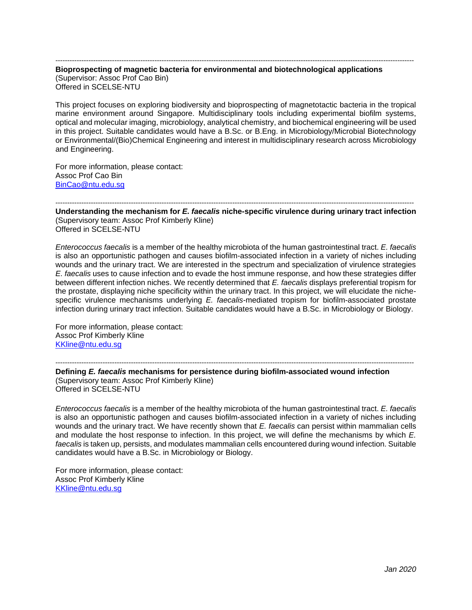### -------------------------------------------------------------------------------------------------------------------------------------------------------- **Bioprospecting of magnetic bacteria for environmental and biotechnological applications**  (Supervisor: Assoc Prof Cao Bin) Offered in SCELSE-NTU

This project focuses on exploring biodiversity and bioprospecting of magnetotactic bacteria in the tropical marine environment around Singapore. Multidisciplinary tools including experimental biofilm systems, optical and molecular imaging, microbiology, analytical chemistry, and biochemical engineering will be used in this project. Suitable candidates would have a B.Sc. or B.Eng. in Microbiology/Microbial Biotechnology or Environmental/(Bio)Chemical Engineering and interest in multidisciplinary research across Microbiology and Engineering.

For more information, please contact: Assoc Prof Cao Bin [BinCao@ntu.edu.sg](mailto:BinCao@ntu.edu.sg)

-------------------------------------------------------------------------------------------------------------------------------------------------------- **Understanding the mechanism for** *E. faecalis* **niche-specific virulence during urinary tract infection**  (Supervisory team: Assoc Prof Kimberly Kline) Offered in SCELSE-NTU

*Enterococcus faecalis* is a member of the healthy microbiota of the human gastrointestinal tract. *E. faecalis*  is also an opportunistic pathogen and causes biofilm-associated infection in a variety of niches including wounds and the urinary tract. We are interested in the spectrum and specialization of virulence strategies *E. faecalis* uses to cause infection and to evade the host immune response, and how these strategies differ between different infection niches. We recently determined that *E. faecalis* displays preferential tropism for the prostate, displaying niche specificity within the urinary tract. In this project, we will elucidate the nichespecific virulence mechanisms underlying *E. faecalis*-mediated tropism for biofilm-associated prostate infection during urinary tract infection. Suitable candidates would have a B.Sc. in Microbiology or Biology.

For more information, please contact: Assoc Prof Kimberly Kline [KKline@ntu.edu.sg](mailto:KKline@ntu.edu.sg)

--------------------------------------------------------------------------------------------------------------------------------------------------------

**Defining** *E. faecalis* **mechanisms for persistence during biofilm-associated wound infection** (Supervisory team: Assoc Prof Kimberly Kline) Offered in SCELSE-NTU

*Enterococcus faecalis* is a member of the healthy microbiota of the human gastrointestinal tract. *E. faecalis*  is also an opportunistic pathogen and causes biofilm-associated infection in a variety of niches including wounds and the urinary tract. We have recently shown that *E. faecalis* can persist within mammalian cells and modulate the host response to infection. In this project, we will define the mechanisms by which *E.*  faecalis is taken up, persists, and modulates mammalian cells encountered during wound infection. Suitable candidates would have a B.Sc. in Microbiology or Biology.

For more information, please contact: Assoc Prof Kimberly Kline [KKline@ntu.edu.sg](mailto:KKline@ntu.edu.sg)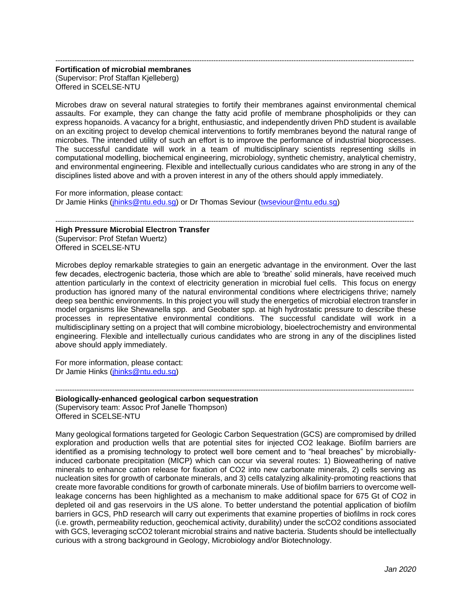## -------------------------------------------------------------------------------------------------------------------------------------------------------- **Fortification of microbial membranes**  (Supervisor: Prof Staffan Kjelleberg) Offered in SCELSE-NTU

Microbes draw on several natural strategies to fortify their membranes against environmental chemical assaults. For example, they can change the fatty acid profile of membrane phospholipids or they can express hopanoids. A vacancy for a bright, enthusiastic, and independently driven PhD student is available on an exciting project to develop chemical interventions to fortify membranes beyond the natural range of microbes. The intended utility of such an effort is to improve the performance of industrial bioprocesses. The successful candidate will work in a team of multidisciplinary scientists representing skills in computational modelling, biochemical engineering, microbiology, synthetic chemistry, analytical chemistry, and environmental engineering. Flexible and intellectually curious candidates who are strong in any of the disciplines listed above and with a proven interest in any of the others should apply immediately.

For more information, please contact: Dr Jamie Hinks [\(jhinks@ntu.edu.sg\)](mailto:jhinks@ntu.edu.sg) or Dr Thomas Seviour [\(twseviour@ntu.edu.sg\)](mailto:twseviour@ntu.edu.sg)

--------------------------------------------------------------------------------------------------------------------------------------------------------

## **High Pressure Microbial Electron Transfer**

(Supervisor: Prof Stefan Wuertz) Offered in SCELSE-NTU

Microbes deploy remarkable strategies to gain an energetic advantage in the environment. Over the last few decades, electrogenic bacteria, those which are able to 'breathe' solid minerals, have received much attention particularly in the context of electricity generation in microbial fuel cells. This focus on energy production has ignored many of the natural environmental conditions where electricigens thrive; namely deep sea benthic environments. In this project you will study the energetics of microbial electron transfer in model organisms like Shewanella spp. and Geobater spp. at high hydrostatic pressure to describe these processes in representative environmental conditions. The successful candidate will work in a multidisciplinary setting on a project that will combine microbiology, bioelectrochemistry and environmental engineering. Flexible and intellectually curious candidates who are strong in any of the disciplines listed above should apply immediately.

For more information, please contact: Dr Jamie Hinks [\(jhinks@ntu.edu.sg\)](mailto:jhinks@ntu.edu.sg)

-------------------------------------------------------------------------------------------------------------------------------------------------------- **Biologically-enhanced geological carbon sequestration** (Supervisory team: Assoc Prof Janelle Thompson) Offered in SCELSE-NTU

Many geological formations targeted for Geologic Carbon Sequestration (GCS) are compromised by drilled exploration and production wells that are potential sites for injected CO2 leakage. Biofilm barriers are identified as a promising technology to protect well bore cement and to "heal breaches" by microbiallyinduced carbonate precipitation (MICP) which can occur via several routes: 1) Bioweathering of native minerals to enhance cation release for fixation of CO2 into new carbonate minerals, 2) cells serving as nucleation sites for growth of carbonate minerals, and 3) cells catalyzing alkalinity-promoting reactions that create more favorable conditions for growth of carbonate minerals. Use of biofilm barriers to overcome wellleakage concerns has been highlighted as a mechanism to make additional space for 675 Gt of CO2 in depleted oil and gas reservoirs in the US alone. To better understand the potential application of biofilm barriers in GCS, PhD research will carry out experiments that examine properties of biofilms in rock cores (i.e. growth, permeability reduction, geochemical activity, durability) under the scCO2 conditions associated with GCS, leveraging scCO2 tolerant microbial strains and native bacteria. Students should be intellectually curious with a strong background in Geology, Microbiology and/or Biotechnology.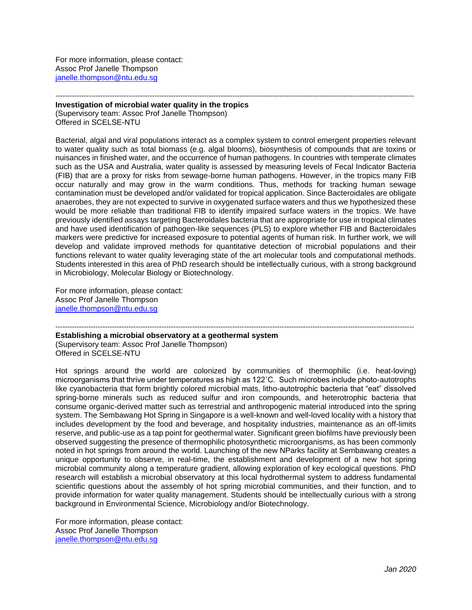For more information, please contact: Assoc Prof Janelle Thompson [janelle.thompson@ntu.edu.sg](mailto:janelle.thompson@ntu.edu.sg)

-------------------------------------------------------------------------------------------------------------------------------------------------------- **Investigation of microbial water quality in the tropics**

(Supervisory team: Assoc Prof Janelle Thompson) Offered in SCELSE-NTU

Bacterial, algal and viral populations interact as a complex system to control emergent properties relevant to water quality such as total biomass (e.g. algal blooms), biosynthesis of compounds that are toxins or nuisances in finished water, and the occurrence of human pathogens. In countries with temperate climates such as the USA and Australia, water quality is assessed by measuring levels of Fecal Indicator Bacteria (FIB) that are a proxy for risks from sewage-borne human pathogens. However, in the tropics many FIB occur naturally and may grow in the warm conditions. Thus, methods for tracking human sewage contamination must be developed and/or validated for tropical application. Since Bacteroidales are obligate anaerobes, they are not expected to survive in oxygenated surface waters and thus we hypothesized these would be more reliable than traditional FIB to identify impaired surface waters in the tropics. We have previously identified assays targeting Bacteroidales bacteria that are appropriate for use in tropical climates and have used identification of pathogen-like sequences (PLS) to explore whether FIB and Bacteroidales markers were predictive for increased exposure to potential agents of human risk. In further work, we will develop and validate improved methods for quantitative detection of microbial populations and their functions relevant to water quality leveraging state of the art molecular tools and computational methods. Students interested in this area of PhD research should be intellectually curious, with a strong background in Microbiology, Molecular Biology or Biotechnology.

For more information, please contact: Assoc Prof Janelle Thompson [janelle.thompson@ntu.edu.sg](mailto:janelle.thompson@ntu.edu.sg)

-------------------------------------------------------------------------------------------------------------------------------------------------------- **Establishing a microbial observatory at a geothermal system**

(Supervisory team: Assoc Prof Janelle Thompson) Offered in SCELSE-NTU

Hot springs around the world are colonized by communities of thermophilic (i.e. heat-loving) microorganisms that thrive under temperatures as high as 122˚C. Such microbes include photo-autotrophs like cyanobacteria that form brightly colored microbial mats, litho-autotrophic bacteria that "eat" dissolved spring-borne minerals such as reduced sulfur and iron compounds, and heterotrophic bacteria that consume organic-derived matter such as terrestrial and anthropogenic material introduced into the spring system. The Sembawang Hot Spring in Singapore is a well-known and well-loved locality with a history that includes development by the food and beverage, and hospitality industries, maintenance as an off-limits reserve, and public-use as a tap point for geothermal water. Significant green biofilms have previously been observed suggesting the presence of thermophilic photosynthetic microorganisms, as has been commonly noted in hot springs from around the world. Launching of the new NParks facility at Sembawang creates a unique opportunity to observe, in real-time, the establishment and development of a new hot spring microbial community along a temperature gradient, allowing exploration of key ecological questions. PhD research will establish a microbial observatory at this local hydrothermal system to address fundamental scientific questions about the assembly of hot spring microbial communities, and their function, and to provide information for water quality management. Students should be intellectually curious with a strong background in Environmental Science, Microbiology and/or Biotechnology.

For more information, please contact: Assoc Prof Janelle Thompson [janelle.thompson@ntu.edu.sg](mailto:janelle.thompson@ntu.edu.sg)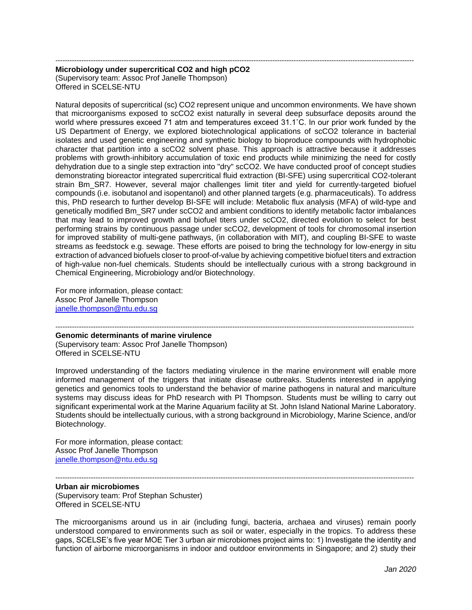# -------------------------------------------------------------------------------------------------------------------------------------------------------- **Microbiology under supercritical CO2 and high pCO2**

(Supervisory team: Assoc Prof Janelle Thompson) Offered in SCELSE-NTU

Natural deposits of supercritical (sc) CO2 represent unique and uncommon environments. We have shown that microorganisms exposed to scCO2 exist naturally in several deep subsurface deposits around the world where pressures exceed 71 atm and temperatures exceed 31.1˚C. In our prior work funded by the US Department of Energy, we explored biotechnological applications of scCO2 tolerance in bacterial isolates and used genetic engineering and synthetic biology to bioproduce compounds with hydrophobic character that partition into a scCO2 solvent phase. This approach is attractive because it addresses problems with growth-inhibitory accumulation of toxic end products while minimizing the need for costly dehydration due to a single step extraction into "dry" scCO2. We have conducted proof of concept studies demonstrating bioreactor integrated supercritical fluid extraction (BI-SFE) using supercritical CO2-tolerant strain Bm SR7. However, several major challenges limit titer and yield for currently-targeted biofuel compounds (i.e. isobutanol and isopentanol) and other planned targets (e.g. pharmaceuticals). To address this, PhD research to further develop BI-SFE will include: Metabolic flux analysis (MFA) of wild-type and genetically modified Bm\_SR7 under scCO2 and ambient conditions to identify metabolic factor imbalances that may lead to improved growth and biofuel titers under scCO2, directed evolution to select for best performing strains by continuous passage under scCO2, development of tools for chromosomal insertion for improved stability of multi-gene pathways, (in collaboration with MIT), and coupling BI-SFE to waste streams as feedstock e.g. sewage. These efforts are poised to bring the technology for low-energy in situ extraction of advanced biofuels closer to proof-of-value by achieving competitive biofuel titers and extraction of high-value non-fuel chemicals. Students should be intellectually curious with a strong background in Chemical Engineering, Microbiology and/or Biotechnology.

For more information, please contact: Assoc Prof Janelle Thompson [janelle.thompson@ntu.edu.sg](mailto:janelle.thompson@ntu.edu.sg)

#### -------------------------------------------------------------------------------------------------------------------------------------------------------- **Genomic determinants of marine virulence**

(Supervisory team: Assoc Prof Janelle Thompson) Offered in SCELSE-NTU

Improved understanding of the factors mediating virulence in the marine environment will enable more informed management of the triggers that initiate disease outbreaks. Students interested in applying genetics and genomics tools to understand the behavior of marine pathogens in natural and mariculture systems may discuss ideas for PhD research with PI Thompson. Students must be willing to carry out significant experimental work at the Marine Aquarium facility at St. John Island National Marine Laboratory. Students should be intellectually curious, with a strong background in Microbiology, Marine Science, and/or Biotechnology.

For more information, please contact: Assoc Prof Janelle Thompson [janelle.thompson@ntu.edu.sg](mailto:janelle.thompson@ntu.edu.sg)

--------------------------------------------------------------------------------------------------------------------------------------------------------

**Urban air microbiomes**  (Supervisory team: Prof Stephan Schuster) Offered in SCELSE-NTU

The microorganisms around us in air (including fungi, bacteria, archaea and viruses) remain poorly understood compared to environments such as soil or water, especially in the tropics. To address these gaps, SCELSE's five year MOE Tier 3 urban air microbiomes project aims to: 1) Investigate the identity and function of airborne microorganisms in indoor and outdoor environments in Singapore; and 2) study their